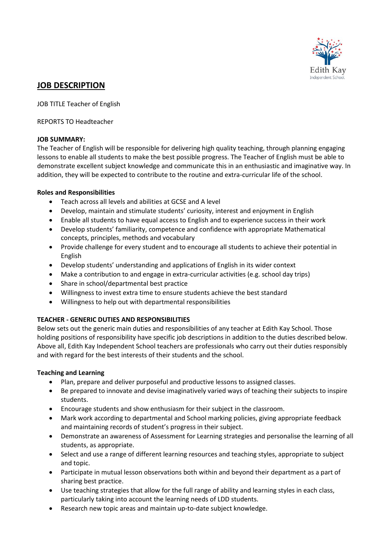

# **JOB DESCRIPTION**

JOB TITLE Teacher of English

REPORTS TO Headteacher

#### **JOB SUMMARY:**

The Teacher of English will be responsible for delivering high quality teaching, through planning engaging lessons to enable all students to make the best possible progress. The Teacher of English must be able to demonstrate excellent subject knowledge and communicate this in an enthusiastic and imaginative way. In addition, they will be expected to contribute to the routine and extra-curricular life of the school.

#### **Roles and Responsibilities**

- Teach across all levels and abilities at GCSE and A level
- Develop, maintain and stimulate students' curiosity, interest and enjoyment in English
- Enable all students to have equal access to English and to experience success in their work
- Develop students' familiarity, competence and confidence with appropriate Mathematical concepts, principles, methods and vocabulary
- Provide challenge for every student and to encourage all students to achieve their potential in English
- Develop students' understanding and applications of English in its wider context
- Make a contribution to and engage in extra-curricular activities (e.g. school day trips)
- Share in school/departmental best practice
- Willingness to invest extra time to ensure students achieve the best standard
- Willingness to help out with departmental responsibilities

## **TEACHER - GENERIC DUTIES AND RESPONSIBILITIES**

Below sets out the generic main duties and responsibilities of any teacher at Edith Kay School. Those holding positions of responsibility have specific job descriptions in addition to the duties described below. Above all, Edith Kay Independent School teachers are professionals who carry out their duties responsibly and with regard for the best interests of their students and the school.

## **Teaching and Learning**

- Plan, prepare and deliver purposeful and productive lessons to assigned classes.
- Be prepared to innovate and devise imaginatively varied ways of teaching their subjects to inspire students.
- Encourage students and show enthusiasm for their subject in the classroom.
- Mark work according to departmental and School marking policies, giving appropriate feedback and maintaining records of student's progress in their subject.
- Demonstrate an awareness of Assessment for Learning strategies and personalise the learning of all students, as appropriate.
- Select and use a range of different learning resources and teaching styles, appropriate to subject and topic.
- Participate in mutual lesson observations both within and beyond their department as a part of sharing best practice.
- Use teaching strategies that allow for the full range of ability and learning styles in each class, particularly taking into account the learning needs of LDD students.
- Research new topic areas and maintain up-to-date subject knowledge.